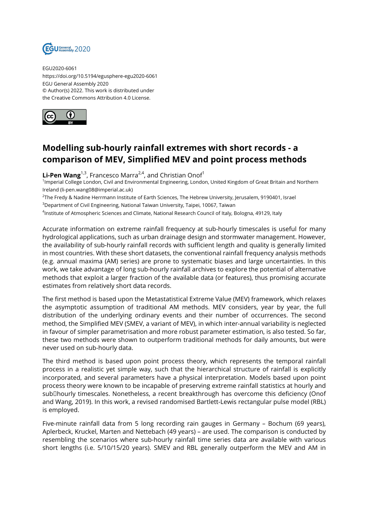

EGU2020-6061 https://doi.org/10.5194/egusphere-egu2020-6061 EGU General Assembly 2020 © Author(s) 2022. This work is distributed under the Creative Commons Attribution 4.0 License.



## **Modelling sub-hourly rainfall extremes with short records - a comparison of MEV, Simplified MEV and point process methods**

Li-Pen Wang<sup>1,3</sup>, Francesco Marra<sup>2,4</sup>, and Christian Onof<sup>1</sup>

1 Imperial College London, Civil and Environmental Engineering, London, United Kingdom of Great Britain and Northern Ireland (li-pen.wang08@imperial.ac.uk)

2 The Fredy & Nadine Herrmann Institute of Earth Sciences, The Hebrew University, Jerusalem, 9190401, Israel

<sup>3</sup>Department of Civil Engineering, National Taiwan University, Taipei, 10067, Taiwan

4 Institute of Atmospheric Sciences and Climate, National Research Council of Italy, Bologna, 49129, Italy

Accurate information on extreme rainfall frequency at sub-hourly timescales is useful for many hydrological applications, such as urban drainage design and stormwater management. However, the availability of sub-hourly rainfall records with sufficient length and quality is generally limited in most countries. With these short datasets, the conventional rainfall frequency analysis methods (e.g. annual maxima (AM) series) are prone to systematic biases and large uncertainties. In this work, we take advantage of long sub-hourly rainfall archives to explore the potential of alternative methods that exploit a larger fraction of the available data (or features), thus promising accurate estimates from relatively short data records.

The first method is based upon the Metastatistical Extreme Value (MEV) framework, which relaxes the asymptotic assumption of traditional AM methods. MEV considers, year by year, the full distribution of the underlying ordinary events and their number of occurrences. The second method, the Simplified MEV (SMEV, a variant of MEV), in which inter-annual variability is neglected in favour of simpler parametrisation and more robust parameter estimation, is also tested. So far, these two methods were shown to outperform traditional methods for daily amounts, but were never used on sub-hourly data.

The third method is based upon point process theory, which represents the temporal rainfall process in a realistic yet simple way, such that the hierarchical structure of rainfall is explicitly incorporated, and several parameters have a physical interpretation. Models based upon point process theory were known to be incapable of preserving extreme rainfall statistics at hourly and sub<sub>D</sub>hourly timescales. Nonetheless, a recent breakthrough has overcome this deficiency (Onof and Wang, 2019). In this work, a revised randomised Bartlett-Lewis rectangular pulse model (RBL) is employed.

Five-minute rainfall data from 5 long recording rain gauges in Germany – Bochum (69 years), Aplerbeck, Kruckel, Marten and Nettebach (49 years) – are used. The comparison is conducted by resembling the scenarios where sub-hourly rainfall time series data are available with various short lengths (i.e. 5/10/15/20 years). SMEV and RBL generally outperform the MEV and AM in